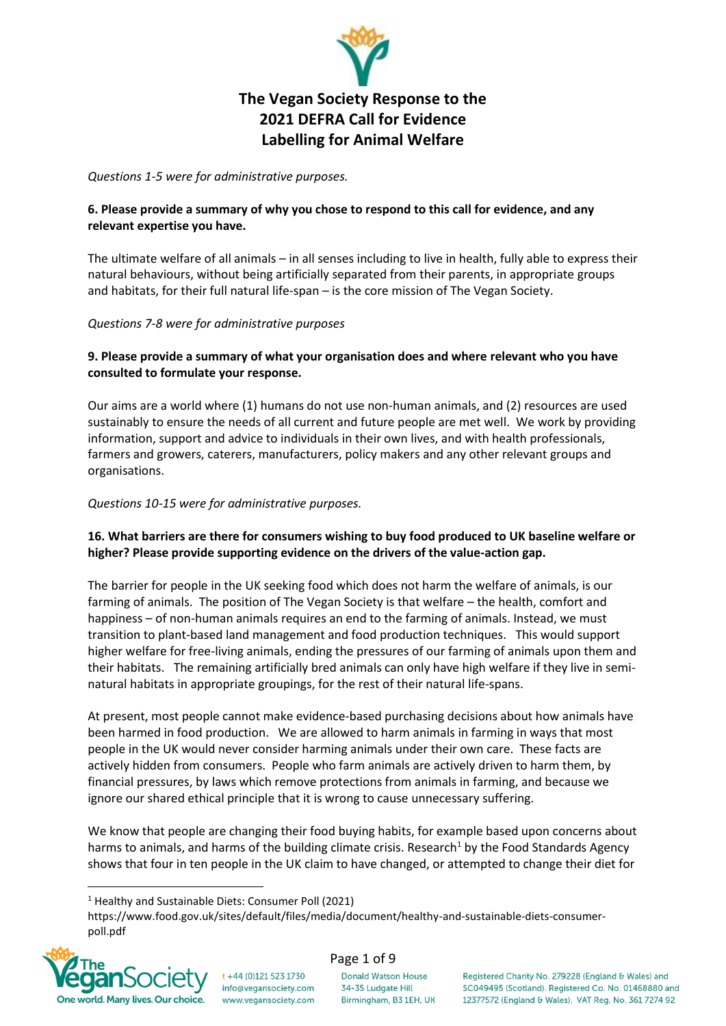

# **The Vegan Society Response to the 2021 DEFRA Call for Evidence Labelling for Animal Welfare**

*Questions 1-5 were for administrative purposes.* 

### **6. Please provide a summary of why you chose to respond to this call for evidence, and any relevant expertise you have.**

The ultimate welfare of all animals – in all senses including to live in health, fully able to express their natural behaviours, without being artificially separated from their parents, in appropriate groups and habitats, for their full natural life-span – is the core mission of The Vegan Society.

#### *Questions 7-8 were for administrative purposes*

### **9. Please provide a summary of what your organisation does and where relevant who you have consulted to formulate your response.**

Our aims are a world where (1) humans do not use non-human animals, and (2) resources are used sustainably to ensure the needs of all current and future people are met well.We work by providing information, support and advice to individuals in their own lives, and with health professionals, farmers and growers, caterers, manufacturers, policy makers and any other relevant groups and organisations.

#### *Questions 10-15 were for administrative purposes.*

### **16. What barriers are there for consumers wishing to buy food produced to UK baseline welfare or higher? Please provide supporting evidence on the drivers of the value-action gap.**

The barrier for people in the UK seeking food which does not harm the welfare of animals, is our farming of animals. The position of The Vegan Society is that welfare – the health, comfort and happiness – of non-human animals requires an end to the farming of animals. Instead, we must transition to plant-based land management and food production techniques. This would support higher welfare for free-living animals, ending the pressures of our farming of animals upon them and their habitats. The remaining artificially bred animals can only have high welfare if they live in seminatural habitats in appropriate groupings, for the rest of their natural life-spans.

At present, most people cannot make evidence-based purchasing decisions about how animals have been harmed in food production. We are allowed to harm animals in farming in ways that most people in the UK would never consider harming animals under their own care. These facts are actively hidden from consumers. People who farm animals are actively driven to harm them, by financial pressures, by laws which remove protections from animals in farming, and because we ignore our shared ethical principle that it is wrong to cause unnecessary suffering.

We know that people are changing their food buying habits, for example based upon concerns about harms to animals, and harms of the building climate crisis. Research<sup>1</sup> by the Food Standards Agency shows that four in ten people in the UK claim to have changed, or attempted to change their diet for

 $t + 44$  (0)121 523 1730

info@vegansociety.com

www.vegansociety.com

https://www.food.gov.uk/sites/default/files/media/document/healthy-and-sustainable-diets-consumerpoll.pdf



#### Page 1 of 9

**Donald Watson House** 34-35 Ludgate Hill Birmingham, B3 1EH, UK

<sup>1</sup> Healthy and Sustainable Diets: Consumer Poll (2021)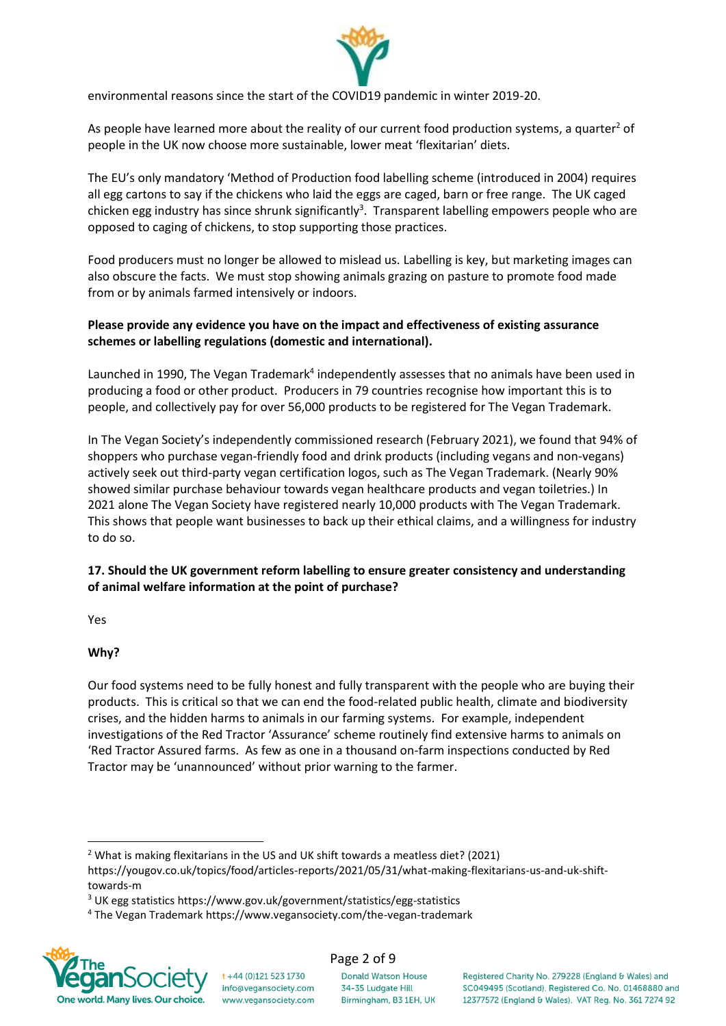

environmental reasons since the start of the COVID19 pandemic in winter 2019-20.

As people have learned more about the reality of our current food production systems, a quarter<sup>2</sup> of people in the UK now choose more sustainable, lower meat 'flexitarian' diets.

The EU's only mandatory 'Method of Production food labelling scheme (introduced in 2004) requires all egg cartons to say if the chickens who laid the eggs are caged, barn or free range. The UK caged chicken egg industry has since shrunk significantly<sup>3</sup>. Transparent labelling empowers people who are opposed to caging of chickens, to stop supporting those practices.

Food producers must no longer be allowed to mislead us. Labelling is key, but marketing images can also obscure the facts. We must stop showing animals grazing on pasture to promote food made from or by animals farmed intensively or indoors.

#### **Please provide any evidence you have on the impact and effectiveness of existing assurance schemes or labelling regulations (domestic and international).**

Launched in 1990, The Vegan Trademark<sup>4</sup> independently assesses that no animals have been used in producing a food or other product. Producers in 79 countries recognise how important this is to people, and collectively pay for over 56,000 products to be registered for The Vegan Trademark.

In The Vegan Society's independently commissioned research (February 2021), we found that 94% of shoppers who purchase vegan-friendly food and drink products (including vegans and non-vegans) actively seek out third-party vegan certification logos, such as The Vegan Trademark. (Nearly 90% showed similar purchase behaviour towards vegan healthcare products and vegan toiletries.) In 2021 alone The Vegan Society have registered nearly 10,000 products with The Vegan Trademark. This shows that people want businesses to back up their ethical claims, and a willingness for industry to do so.

### **17. Should the UK government reform labelling to ensure greater consistency and understanding of animal welfare information at the point of purchase?**

Yes

#### **Why?**

Our food systems need to be fully honest and fully transparent with the people who are buying their products. This is critical so that we can end the food-related public health, climate and biodiversity crises, and the hidden harms to animals in our farming systems. For example, independent investigations of the Red Tractor 'Assurance' scheme routinely find extensive harms to animals on 'Red Tractor Assured farms. As few as one in a thousand on-farm inspections conducted by Red Tractor may be 'unannounced' without prior warning to the farmer.

t +44 (0)121 523 1730

info@vegansociety.com

www.vegansociety.com

<sup>4</sup> The Vegan Trademark https://www.vegansociety.com/the-vegan-trademark



#### Page 2 of 9

**Donald Watson House** 34-35 Ludgate Hill Birmingham, B3 1EH, UK

<sup>&</sup>lt;sup>2</sup> What is making flexitarians in the US and UK shift towards a meatless diet? (2021)

https://yougov.co.uk/topics/food/articles-reports/2021/05/31/what-making-flexitarians-us-and-uk-shifttowards-m

<sup>3</sup> UK egg statistics https://www.gov.uk/government/statistics/egg-statistics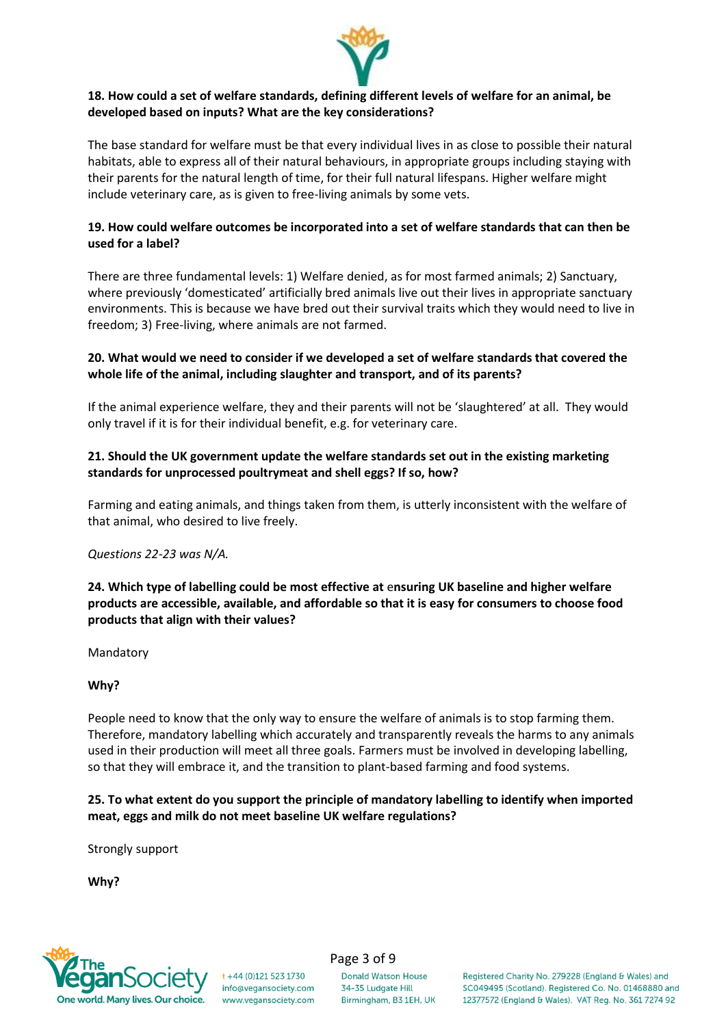

#### **18. How could a set of welfare standards, defining different levels of welfare for an animal, be developed based on inputs? What are the key considerations?**

The base standard for welfare must be that every individual lives in as close to possible their natural habitats, able to express all of their natural behaviours, in appropriate groups including staying with their parents for the natural length of time, for their full natural lifespans. Higher welfare might include veterinary care, as is given to free-living animals by some vets.

#### **19. How could welfare outcomes be incorporated into a set of welfare standards that can then be used for a label?**

There are three fundamental levels: 1) Welfare denied, as for most farmed animals; 2) Sanctuary, where previously 'domesticated' artificially bred animals live out their lives in appropriate sanctuary environments. This is because we have bred out their survival traits which they would need to live in freedom; 3) Free-living, where animals are not farmed.

#### **20. What would we need to consider if we developed a set of welfare standards that covered the whole life of the animal, including slaughter and transport, and of its parents?**

If the animal experience welfare, they and their parents will not be 'slaughtered' at all. They would only travel if it is for their individual benefit, e.g. for veterinary care.

#### **21. Should the UK government update the welfare standards set out in the existing marketing standards for unprocessed poultrymeat and shell eggs? If so, how?**

Farming and eating animals, and things taken from them, is utterly inconsistent with the welfare of that animal, who desired to live freely.

#### *Questions 22-23 was N/A.*

#### **24. Which type of labelling could be most effective at** e**nsuring UK baseline and higher welfare products are accessible, available, and affordable so that it is easy for consumers to choose food products that align with their values?**

Mandatory

#### **Why?**

People need to know that the only way to ensure the welfare of animals is to stop farming them. Therefore, mandatory labelling which accurately and transparently reveals the harms to any animals used in their production will meet all three goals. Farmers must be involved in developing labelling, so that they will embrace it, and the transition to plant-based farming and food systems.

#### **25. To what extent do you support the principle of mandatory labelling to identify when imported meat, eggs and milk do not meet baseline UK welfare regulations?**

Strongly support

**Why?**



**Donald Watson House** 34-35 Ludgate Hill Birmingham, B3 1EH, UK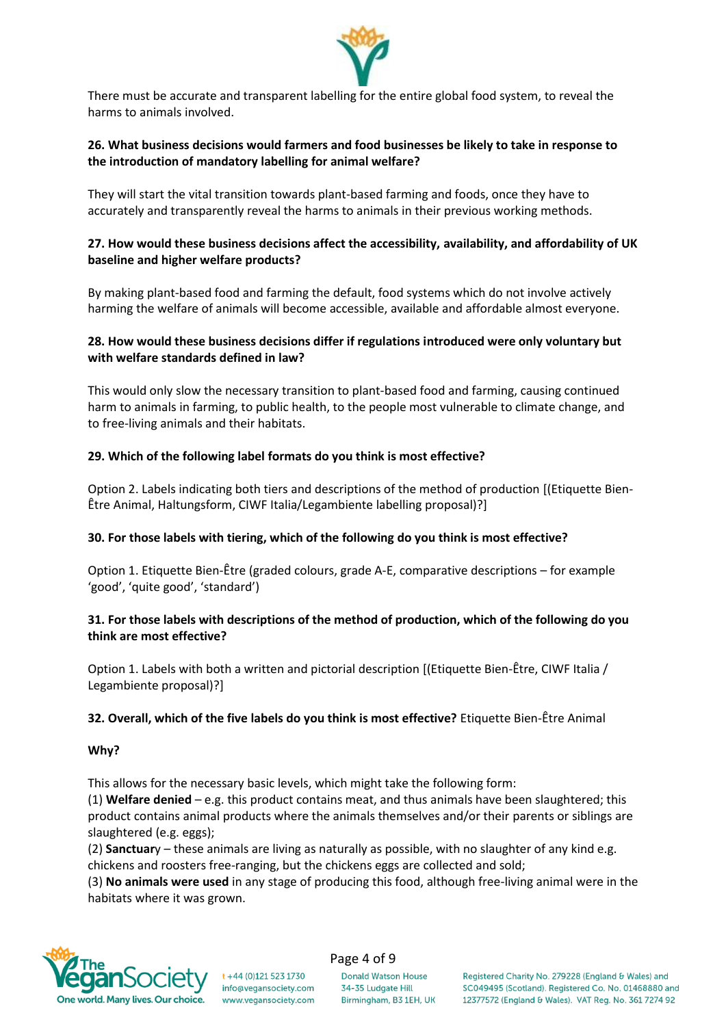

There must be accurate and transparent labelling for the entire global food system, to reveal the harms to animals involved.

#### **26. What business decisions would farmers and food businesses be likely to take in response to the introduction of mandatory labelling for animal welfare?**

They will start the vital transition towards plant-based farming and foods, once they have to accurately and transparently reveal the harms to animals in their previous working methods.

#### **27. How would these business decisions affect the accessibility, availability, and affordability of UK baseline and higher welfare products?**

By making plant-based food and farming the default, food systems which do not involve actively harming the welfare of animals will become accessible, available and affordable almost everyone.

#### **28. How would these business decisions differ if regulations introduced were only voluntary but with welfare standards defined in law?**

This would only slow the necessary transition to plant-based food and farming, causing continued harm to animals in farming, to public health, to the people most vulnerable to climate change, and to free-living animals and their habitats.

#### **29. Which of the following label formats do you think is most effective?**

Option 2. Labels indicating both tiers and descriptions of the method of production [(Etiquette Bien-Être Animal, Haltungsform, CIWF Italia/Legambiente labelling proposal)?]

#### **30. For those labels with tiering, which of the following do you think is most effective?**

Option 1. Etiquette Bien-Être (graded colours, grade A-E, comparative descriptions – for example 'good', 'quite good', 'standard')

#### **31. For those labels with descriptions of the method of production, which of the following do you think are most effective?**

Option 1. Labels with both a written and pictorial description [(Etiquette Bien-Être, CIWF Italia / Legambiente proposal)?]

#### **32. Overall, which of the five labels do you think is most effective?** Etiquette Bien-Être Animal

#### **Why?**

This allows for the necessary basic levels, which might take the following form:

(1) **Welfare denied** – e.g. this product contains meat, and thus animals have been slaughtered; this product contains animal products where the animals themselves and/or their parents or siblings are slaughtered (e.g. eggs);

(2) **Sanctuar**y – these animals are living as naturally as possible, with no slaughter of any kind e.g. chickens and roosters free-ranging, but the chickens eggs are collected and sold;

(3) **No animals were used** in any stage of producing this food, although free-living animal were in the habitats where it was grown.



 $t + 44 (0)121 523 1730$ info@vegansociety.com www.vegansociety.com Page 4 of 9

**Donald Watson House** 34-35 Ludgate Hill Birmingham, B3 1EH, UK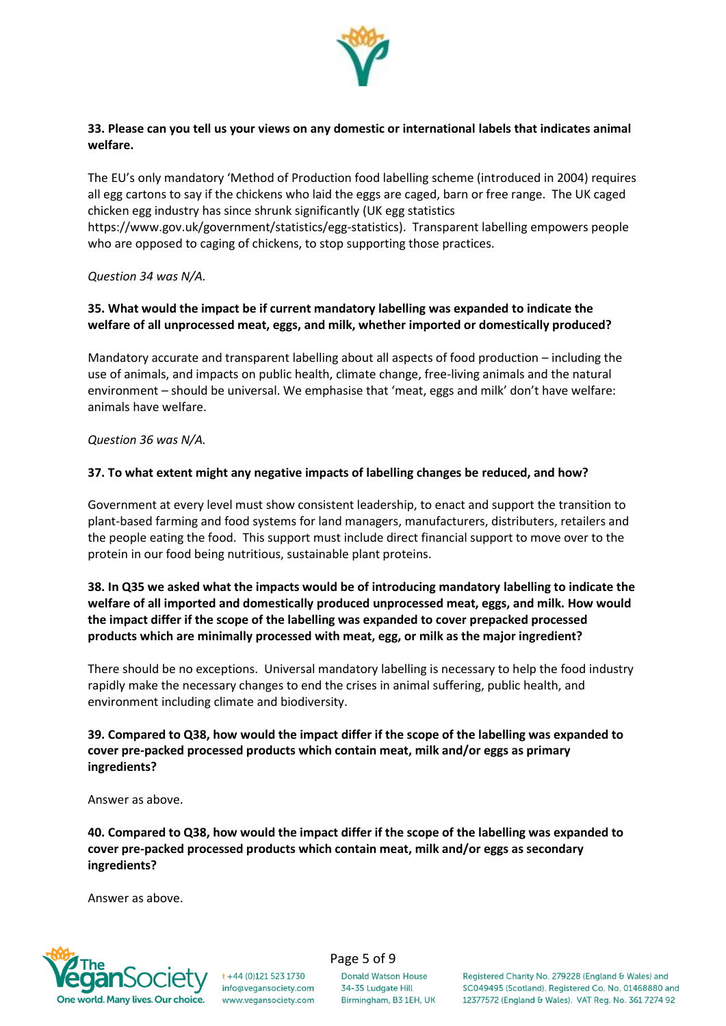

#### **33. Please can you tell us your views on any domestic or international labels that indicates animal welfare.**

The EU's only mandatory 'Method of Production food labelling scheme (introduced in 2004) requires all egg cartons to say if the chickens who laid the eggs are caged, barn or free range. The UK caged chicken egg industry has since shrunk significantly (UK egg statistics

https://www.gov.uk/government/statistics/egg-statistics). Transparent labelling empowers people who are opposed to caging of chickens, to stop supporting those practices.

*Question 34 was N/A.*

#### **35. What would the impact be if current mandatory labelling was expanded to indicate the welfare of all unprocessed meat, eggs, and milk, whether imported or domestically produced?**

Mandatory accurate and transparent labelling about all aspects of food production – including the use of animals, and impacts on public health, climate change, free-living animals and the natural environment – should be universal. We emphasise that 'meat, eggs and milk' don't have welfare: animals have welfare.

*Question 36 was N/A.*

#### **37. To what extent might any negative impacts of labelling changes be reduced, and how?**

Government at every level must show consistent leadership, to enact and support the transition to plant-based farming and food systems for land managers, manufacturers, distributers, retailers and the people eating the food. This support must include direct financial support to move over to the protein in our food being nutritious, sustainable plant proteins.

#### **38. In Q35 we asked what the impacts would be of introducing mandatory labelling to indicate the welfare of all imported and domestically produced unprocessed meat, eggs, and milk. How would the impact differ if the scope of the labelling was expanded to cover prepacked processed products which are minimally processed with meat, egg, or milk as the major ingredient?**

There should be no exceptions. Universal mandatory labelling is necessary to help the food industry rapidly make the necessary changes to end the crises in animal suffering, public health, and environment including climate and biodiversity.

#### **39. Compared to Q38, how would the impact differ if the scope of the labelling was expanded to cover pre-packed processed products which contain meat, milk and/or eggs as primary ingredients?**

Answer as above.

**40. Compared to Q38, how would the impact differ if the scope of the labelling was expanded to cover pre-packed processed products which contain meat, milk and/or eggs as secondary ingredients?**

Answer as above.



 $t + 44$  (0)121 523 1730 info@vegansociety.com www.vegansociety.com Page 5 of 9

**Donald Watson House** 34-35 Ludgate Hill Birmingham, B3 1EH, UK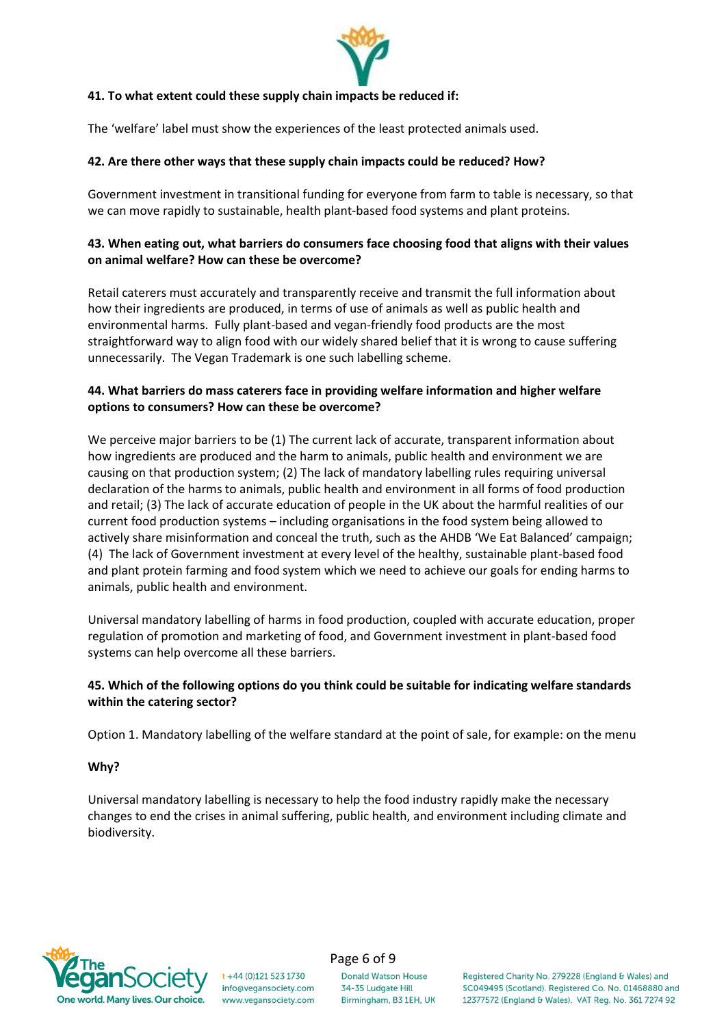

#### **41. To what extent could these supply chain impacts be reduced if:**

The 'welfare' label must show the experiences of the least protected animals used.

#### **42. Are there other ways that these supply chain impacts could be reduced? How?**

Government investment in transitional funding for everyone from farm to table is necessary, so that we can move rapidly to sustainable, health plant-based food systems and plant proteins.

#### **43. When eating out, what barriers do consumers face choosing food that aligns with their values on animal welfare? How can these be overcome?**

Retail caterers must accurately and transparently receive and transmit the full information about how their ingredients are produced, in terms of use of animals as well as public health and environmental harms. Fully plant-based and vegan-friendly food products are the most straightforward way to align food with our widely shared belief that it is wrong to cause suffering unnecessarily. The Vegan Trademark is one such labelling scheme.

#### **44. What barriers do mass caterers face in providing welfare information and higher welfare options to consumers? How can these be overcome?**

We perceive major barriers to be (1) The current lack of accurate, transparent information about how ingredients are produced and the harm to animals, public health and environment we are causing on that production system; (2) The lack of mandatory labelling rules requiring universal declaration of the harms to animals, public health and environment in all forms of food production and retail; (3) The lack of accurate education of people in the UK about the harmful realities of our current food production systems – including organisations in the food system being allowed to actively share misinformation and conceal the truth, such as the AHDB 'We Eat Balanced' campaign; (4) The lack of Government investment at every level of the healthy, sustainable plant-based food and plant protein farming and food system which we need to achieve our goals for ending harms to animals, public health and environment.

Universal mandatory labelling of harms in food production, coupled with accurate education, proper regulation of promotion and marketing of food, and Government investment in plant-based food systems can help overcome all these barriers.

#### **45. Which of the following options do you think could be suitable for indicating welfare standards within the catering sector?**

Option 1. Mandatory labelling of the welfare standard at the point of sale, for example: on the menu

#### **Why?**

Universal mandatory labelling is necessary to help the food industry rapidly make the necessary changes to end the crises in animal suffering, public health, and environment including climate and biodiversity.



 $t + 44$  (0)121 523 1730 info@vegansociety.com www.vegansociety.com

#### Page 6 of 9

**Donald Watson House** 34-35 Ludgate Hill Birmingham, B3 1EH, UK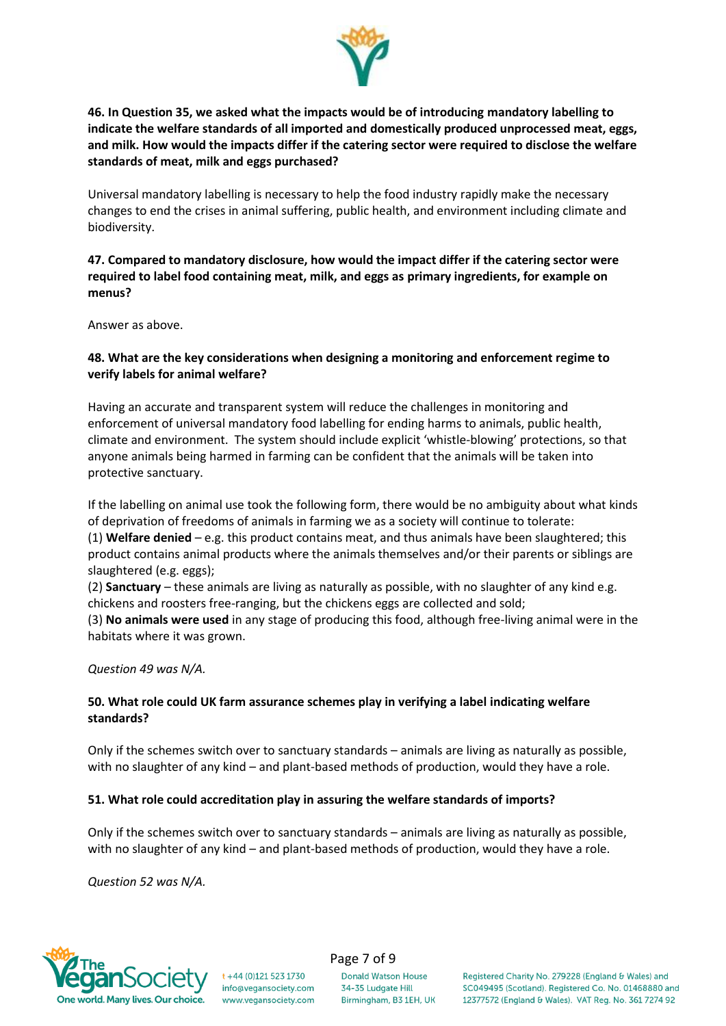

**46. In Question 35, we asked what the impacts would be of introducing mandatory labelling to indicate the welfare standards of all imported and domestically produced unprocessed meat, eggs, and milk. How would the impacts differ if the catering sector were required to disclose the welfare standards of meat, milk and eggs purchased?**

Universal mandatory labelling is necessary to help the food industry rapidly make the necessary changes to end the crises in animal suffering, public health, and environment including climate and biodiversity.

### **47. Compared to mandatory disclosure, how would the impact differ if the catering sector were required to label food containing meat, milk, and eggs as primary ingredients, for example on menus?**

Answer as above.

#### **48. What are the key considerations when designing a monitoring and enforcement regime to verify labels for animal welfare?**

Having an accurate and transparent system will reduce the challenges in monitoring and enforcement of universal mandatory food labelling for ending harms to animals, public health, climate and environment. The system should include explicit 'whistle-blowing' protections, so that anyone animals being harmed in farming can be confident that the animals will be taken into protective sanctuary.

If the labelling on animal use took the following form, there would be no ambiguity about what kinds of deprivation of freedoms of animals in farming we as a society will continue to tolerate:

(1) **Welfare denied** – e.g. this product contains meat, and thus animals have been slaughtered; this product contains animal products where the animals themselves and/or their parents or siblings are slaughtered (e.g. eggs);

(2) **Sanctuary** – these animals are living as naturally as possible, with no slaughter of any kind e.g. chickens and roosters free-ranging, but the chickens eggs are collected and sold;

(3) **No animals were used** in any stage of producing this food, although free-living animal were in the habitats where it was grown.

*Question 49 was N/A.*

### **50. What role could UK farm assurance schemes play in verifying a label indicating welfare standards?**

Only if the schemes switch over to sanctuary standards – animals are living as naturally as possible, with no slaughter of any kind – and plant-based methods of production, would they have a role.

#### **51. What role could accreditation play in assuring the welfare standards of imports?**

Only if the schemes switch over to sanctuary standards – animals are living as naturally as possible, with no slaughter of any kind – and plant-based methods of production, would they have a role.

*Question 52 was N/A.*

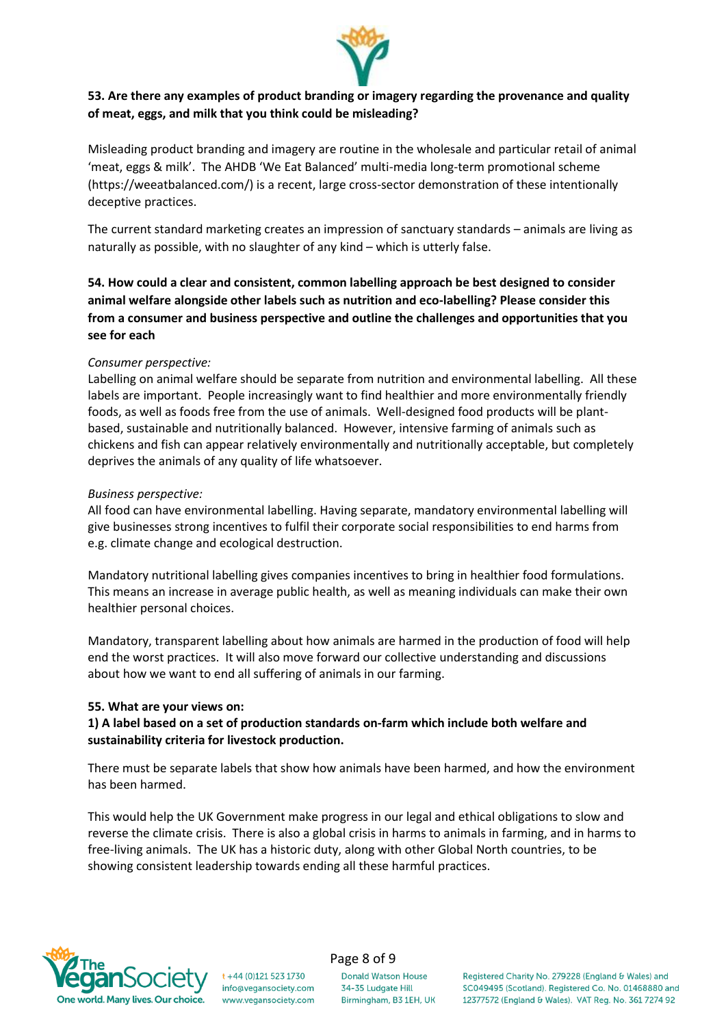

### **53. Are there any examples of product branding or imagery regarding the provenance and quality of meat, eggs, and milk that you think could be misleading?**

Misleading product branding and imagery are routine in the wholesale and particular retail of animal 'meat, eggs & milk'. The AHDB 'We Eat Balanced' multi-media long-term promotional scheme (https://weeatbalanced.com/) is a recent, large cross-sector demonstration of these intentionally deceptive practices.

The current standard marketing creates an impression of sanctuary standards – animals are living as naturally as possible, with no slaughter of any kind – which is utterly false.

**54. How could a clear and consistent, common labelling approach be best designed to consider animal welfare alongside other labels such as nutrition and eco-labelling? Please consider this from a consumer and business perspective and outline the challenges and opportunities that you see for each**

#### *Consumer perspective:*

Labelling on animal welfare should be separate from nutrition and environmental labelling. All these labels are important. People increasingly want to find healthier and more environmentally friendly foods, as well as foods free from the use of animals. Well-designed food products will be plantbased, sustainable and nutritionally balanced. However, intensive farming of animals such as chickens and fish can appear relatively environmentally and nutritionally acceptable, but completely deprives the animals of any quality of life whatsoever.

#### *Business perspective:*

All food can have environmental labelling. Having separate, mandatory environmental labelling will give businesses strong incentives to fulfil their corporate social responsibilities to end harms from e.g. climate change and ecological destruction.

Mandatory nutritional labelling gives companies incentives to bring in healthier food formulations. This means an increase in average public health, as well as meaning individuals can make their own healthier personal choices.

Mandatory, transparent labelling about how animals are harmed in the production of food will help end the worst practices. It will also move forward our collective understanding and discussions about how we want to end all suffering of animals in our farming.

#### **55. What are your views on:**

### **1) A label based on a set of production standards on-farm which include both welfare and sustainability criteria for livestock production.**

There must be separate labels that show how animals have been harmed, and how the environment has been harmed.

This would help the UK Government make progress in our legal and ethical obligations to slow and reverse the climate crisis. There is also a global crisis in harms to animals in farming, and in harms to free-living animals. The UK has a historic duty, along with other Global North countries, to be showing consistent leadership towards ending all these harmful practices.



#### t +44 (0)121 523 1730 info@vegansociety.com www.vegansociety.com

# Page 8 of 9

**Donald Watson House** 34-35 Ludgate Hill Birmingham, B3 1EH, UK